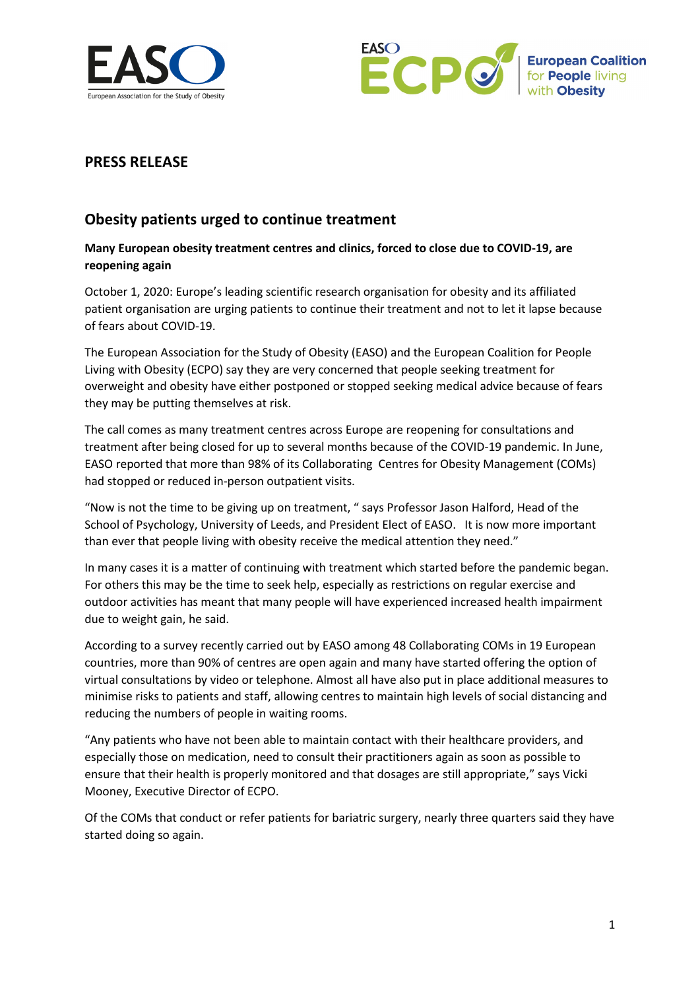



## **PRESS RELEASE**

# **Obesity patients urged to continue treatment**

### **Many European obesity treatment centres and clinics, forced to close due to COVID-19, are reopening again**

October 1, 2020: Europe's leading scientific research organisation for obesity and its affiliated patient organisation are urging patients to continue their treatment and not to let it lapse because of fears about COVID-19.

The European Association for the Study of Obesity (EASO) and the European Coalition for People Living with Obesity (ECPO) say they are very concerned that people seeking treatment for overweight and obesity have either postponed or stopped seeking medical advice because of fears they may be putting themselves at risk.

The call comes as many treatment centres across Europe are reopening for consultations and treatment after being closed for up to several months because of the COVID-19 pandemic. In June, EASO reported that more than 98% of its Collaborating Centres for Obesity Management (COMs) had stopped or reduced in-person outpatient visits.

"Now is not the time to be giving up on treatment, " says Professor Jason Halford, Head of the School of Psychology, University of Leeds, and President Elect of EASO. It is now more important than ever that people living with obesity receive the medical attention they need."

In many cases it is a matter of continuing with treatment which started before the pandemic began. For others this may be the time to seek help, especially as restrictions on regular exercise and outdoor activities has meant that many people will have experienced increased health impairment due to weight gain, he said.

According to a survey recently carried out by EASO among 48 Collaborating COMs in 19 European countries, more than 90% of centres are open again and many have started offering the option of virtual consultations by video or telephone. Almost all have also put in place additional measures to minimise risks to patients and staff, allowing centres to maintain high levels of social distancing and reducing the numbers of people in waiting rooms.

"Any patients who have not been able to maintain contact with their healthcare providers, and especially those on medication, need to consult their practitioners again as soon as possible to ensure that their health is properly monitored and that dosages are still appropriate," says Vicki Mooney, Executive Director of ECPO.

Of the COMs that conduct or refer patients for bariatric surgery, nearly three quarters said they have started doing so again.